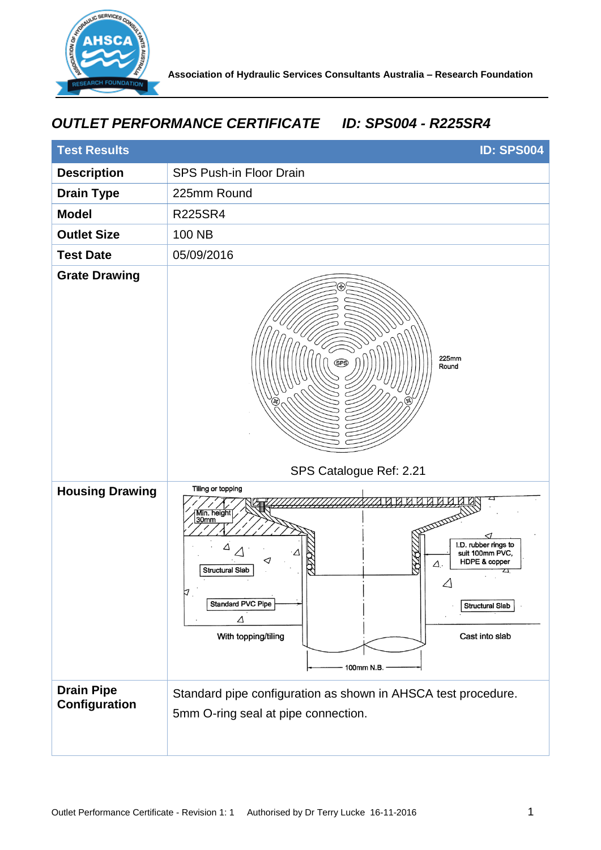

## *OUTLET PERFORMANCE CERTIFICATE ID: SPS004 - R225SR4*